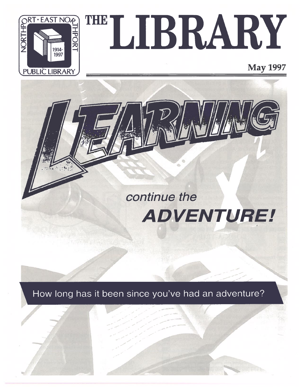

# RARY THE IS

May 1997



How long has it been since you've had an adventure?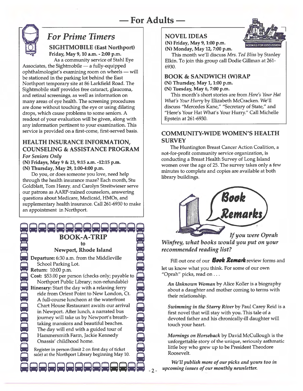

## For Prime Timers

 SIGHTMOBILE (East Northport) Friday, May 9, 10 a.m. - 2:00 p.m.

As a community service of Stahl Eye Associates, the Sightmobile — <sup>a</sup> fully-equipped ophthalmologist's examining room on wheels — will be stationed in the parking lot behind the East Northport temporary site at 86 Larkfield Road. The Sightmobile staff provides free cataract, glaucoma, and retinal screenings, as well as information on many areas of eye health. The screening procedures are done without touching the eye or using dilating drops, which cause problems to some seniors. A readout of your evaluation will be given, along with any information pertinent to your examination. This service is provided on <sup>a</sup> first-come, first-served basis.

## HEALTH INSURANCE INFORMATION, COUNSELING & ASSISTANCE PROGRAM For Seniors Only

(N) Fridays, May <sup>9</sup> & 23, 9:15 a.m. -12:15 p.m. (N) Thursday, May 29, 1:00-4:00 p.m.

Do you, or does someone you love, need help through the health insurance maze? Each month, Stu Goldblatt, Tom Henry, and Carolyn Streitwieser serve our patrons as AARP-trained counselors, answering questions about Medicare, Medicaid, HMOs, and supplementary health insurance. Call 261-6930 to make an appointment in Northport.

<u>r [: [: [: [: [: [: [: [: [: ]] [: [: [: [: [: ]] [: [: [: [: ]] [: [: ]] [: [: [: ]] [: [: [: ]] [: [: [: ]</u> BOOK-A-TRIPto

Newport, Rhode Island

Departure: 6:30 a.m. from the Middleville School Parking Lot. Return: 10:00 p.m.

Cost: \$53.00 per person (checks only; payable to Northport Public Library; non-refundable)

Itinerary: Start the day with a relaxing ferry ride from Orient Point to New London, Ct. A full-course luncheon at the waterfront Chart House Restaurant awaits our arrival in Newport. After lunch, <sup>a</sup> narrated bus journey will take us by Newport's breath taking mansions and beautiful beaches. The day will end with <sup>a</sup> guided tour of Hammersmith Farm, Jackie Kennedy Onassis' childhood home.

Register in person (limit 2 on first day of ticket sale) at the Northport Library beginning May 10.

RAAAAAAAA

## NOVEL IDEAS



This month we'll discuss Mrs. Ted Bliss by Stanley Elkin. To join this group call Dodie Giliman at 261- 6930.

## BOOK & SANDWICH (W)RAP

(N) Thursday, May 1, 1:00 p.m. (N) Tuesday, May 6, 7:00 p.m.

This month's short stories are from Here's Your Hat What's Your Hurry by Elizabeth McCracken. We'l discuss "Mercedes Kane," "Secretary of State," and "Here's Your Hat What's Your Hurry." Call Michelle Epstein at 261-6930.

## COMMUNITY-WIDE WOMEN'S HEALTH **SURVEY**

The Huntington Breast Cancer Action Coalition, <sup>a</sup> not-for-profit community service organization, is conducting <sup>a</sup> Breast Health Survey of Long Island women over the age of 25. The survey takes only <sup>a</sup> few minutes to complete and copies are available at both library buildings.



If you were Oprah

Winfrey, what books would you pu<sup>t</sup> on your recommended reading list?

Fill out one of our **Book Remark** review forms and let us know what you think. For some of our own "Oprah" picks, read on...

An Unknown Woman by Alice Koller is <sup>a</sup> biography about a daughter and mother coming to terms with their relationship.

Swimming in the Starry River by Paul Carey Reid is a first novel that will stay with you. This tale of <sup>a</sup> devoted father and his chronically-ill daughter will touch your heart.

Mornings on Horseback by David McCullough is the unforgettable story of the unique, seriously asthmatic little boy who grew up to be President Theodore Roosevelt.

We'll publish more of our picks and yours too in upcoming issues of our monthly newsletter.

-2-

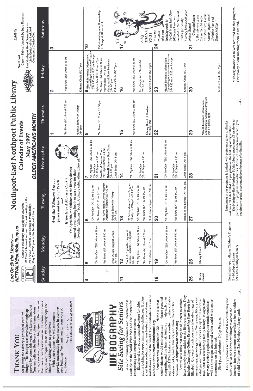EN = East Northport Library EN East Northport Library

IRE NOTIFIPOTE-EAST NOTIFIPOT F LIDIL LIDIALY ENCOULAGES ALL TESTICIPATE IN PROGRAMS and activities. Please let us know in advance if you require any special accommodations because of a disability. The Northport-East Northport Public Library encourages all residents to participate in programs and activities. Please let us know in advance if you require any special accommodations because of a disability.

"Tre-registration or tickets required for this program.<br>Occupancy of our meeting room is limited. \*pre..registration or tickets required for this program. Occupancy of our meeting room is limited.

|                         | NETWALK@suffolk.lib.ny.us<br>Log On @ the Library                                                                                                                                              |                                                                                                                    | Northport-East Northport Public Library                                                                                                                                                                                             |                                                                                          |                                                                                                       | Exhibits                                                                                                                       |
|-------------------------|------------------------------------------------------------------------------------------------------------------------------------------------------------------------------------------------|--------------------------------------------------------------------------------------------------------------------|-------------------------------------------------------------------------------------------------------------------------------------------------------------------------------------------------------------------------------------|------------------------------------------------------------------------------------------|-------------------------------------------------------------------------------------------------------|--------------------------------------------------------------------------------------------------------------------------------|
| xerxerx<br>إسلال        | Come to the library and apply for your free<br>NETWALK Internet account. The next meeting of the<br>NETWALK Internet User Group is Wednesday,<br>May 7, at 7:30 p.m. at the Northport Library. |                                                                                                                    | OLDER AMERICANS MONTH<br><b>Calendar of Events</b><br><b>May 1997</b>                                                                                                                                                               |                                                                                          | Northport<br>Case-<br>国民                                                                              | - Fabric Artwork by Judy Hartman<br>East Northport Floral Decorations<br>Linda Gruhn of the Larkfield<br>Community Garden Club |
| Sunday                  | Monday                                                                                                                                                                                         | Tuesday                                                                                                            | Wednesday                                                                                                                                                                                                                           | Thursday                                                                                 | Friday                                                                                                | Saturday                                                                                                                       |
|                         |                                                                                                                                                                                                | James and the Giant Peach<br>And the Winners Are                                                                   |                                                                                                                                                                                                                                     |                                                                                          | $\mathbf{\Omega}$                                                                                     | S                                                                                                                              |
|                         |                                                                                                                                                                                                | On April 8th, the children of the library district<br>If You Give A Mouse a Cookie<br>and                          |                                                                                                                                                                                                                                     | "For Fours (N) 10 am & 3:30 pm                                                           | "For Fours (EN) 10 am & 11 am                                                                         |                                                                                                                                |
|                         |                                                                                                                                                                                                | favorite "delicious" book. A victory celebration followed.<br>entered a real voting booth to cast a vote for their |                                                                                                                                                                                                                                     | *Book & Sandwich (W)rap<br>(N) 1pm                                                       | Knitters' Circle (N) 7 pm                                                                             |                                                                                                                                |
| ₹                       | 5                                                                                                                                                                                              | စ                                                                                                                  | r                                                                                                                                                                                                                                   | $\infty$                                                                                 | *Health Insurance Information,<br>$\bullet$                                                           | $\mathbf{Q}$                                                                                                                   |
|                         | "On My Own (EN) 10 am & 11 am                                                                                                                                                                  | "On My Own $(N)$ 10 am & 11 am<br>"For Fours (EN) 10 am & 11 am                                                    | "On $My$ Own (EN) $10$ am $\&$ 11 am<br>*On My Own<br>(N) 12:30 pm & 1:30 pm                                                                                                                                                        | "For Fours (N) $10$ am & 3:30 pm                                                         | Counseling & Assistance Program<br>(N) 9:15 am - 12:15 pm by appt.<br>Sightmobile (EN) 10 am - 2 pm   |                                                                                                                                |
|                         | "For Fours (N) 10 am & 3:30 pm                                                                                                                                                                 | *55/Alive Mature Driver Program<br>(Northport Village Hall) 9:30 am                                                | <b>Netwalk</b> Internet User Group<br>Free Blood Pressure Check<br>(N) 1-3 pm; (EN) 3:15-4 pm                                                                                                                                       |                                                                                          | *For Fours (EN) 10 am & 11 am<br>*Novel Ideas (N) 1 pm                                                | Ticket sales begin for Book-A-Trip<br>to Newport, RI, on 6/11                                                                  |
|                         | Lyme Disease Support Group<br>(N) 7 pm                                                                                                                                                         | *Book & Sandwich (W)rap<br>(N) 7 pm                                                                                | Great Books (N) 8 pm<br>(N) 7:30 pm                                                                                                                                                                                                 |                                                                                          | Young Adult Book Reviewers<br>(N) 4-5 pm<br>Knitters' Circle (N) 7 pm                                 | <b>AMERICAN</b>                                                                                                                |
| $\mathbf{r}$            | <u>2</u>                                                                                                                                                                                       | $\frac{3}{1}$                                                                                                      | $\frac{4}{1}$                                                                                                                                                                                                                       | <u>မှ</u>                                                                                | $\frac{6}{1}$                                                                                         | $\mathbf{r}$                                                                                                                   |
|                         | *Book-A-Trip to the Dogwood<br>Festival, Fairfield, CT departs<br>8:30 am                                                                                                                      | *55/Alive Mature Driver Program<br>(Northport Village Hall) 9:30 am                                                | *On My Own (EN) 10 am & 11 am                                                                                                                                                                                                       | "For Fours (N) 10 am & 3:30 pm                                                           | *For Fours (EN) 10 am & 11 am                                                                         |                                                                                                                                |
|                         | "On $My$ Own (EN) $10$ am $8$ $11$ am                                                                                                                                                          | "On $My$ Own $(N)$ 10 am & 11 am                                                                                   |                                                                                                                                                                                                                                     |                                                                                          | Reception for Mrs. Doris Gebel                                                                        |                                                                                                                                |
|                         | "For Fours (N) 10 am & 3:30 pm                                                                                                                                                                 | "For Fours (EN) 10 am & 11 am                                                                                      | *On My Own<br>(N) 12:30 pm & 1:30 pm                                                                                                                                                                                                | Library Board of Trustees                                                                | $(N)$ 3-5 pm                                                                                          | THANK<br>A big                                                                                                                 |
|                         | *Novel Ideas (N) 7 pm                                                                                                                                                                          | Oral History Project (N) 7:30 pm                                                                                   |                                                                                                                                                                                                                                     | Meeting (N)                                                                              | Knitters' Circle (N) 7 pm                                                                             | <b>IDOX</b>                                                                                                                    |
| $\frac{8}{1}$           | $\frac{6}{1}$                                                                                                                                                                                  | <b>20</b>                                                                                                          | $\overline{\mathbf{S}}$                                                                                                                                                                                                             | 22                                                                                       | 23                                                                                                    | to all the<br>children<br>24                                                                                                   |
|                         | "On $My$ Own (EN) $10$ am $\&$ $11$ am                                                                                                                                                         | "On My Own (N) 10 am & 11 am                                                                                       | *On My Own (EN) 10 am & 11 am                                                                                                                                                                                                       |                                                                                          | *Health Insurance Information,<br>Counseling & Assistance Program<br>(N)  9:15 am - 12:15 pm by appt. | birthday cards to<br>who sent                                                                                                  |
|                         | "For Fours $(N)$ 10 am $\&$ 3:30 pm                                                                                                                                                            | "For Fours (EN) 10 am & 11 am                                                                                      | *On My Own<br>(N) 12:30 pm & 1:30 pm                                                                                                                                                                                                |                                                                                          |                                                                                                       | the Cat in the Hat. Over<br>donated to the National<br>200 books have been                                                     |
|                         |                                                                                                                                                                                                | Friends of the Library (N) 7:30 pm                                                                                 | Great Books (N) 8 pm                                                                                                                                                                                                                |                                                                                          | Knitters' Circle (N) 7 pm                                                                             | Literacy because of your<br>Center for Family                                                                                  |
| 25                      | 26                                                                                                                                                                                             | 27                                                                                                                 | <b>28</b>                                                                                                                                                                                                                           | 29                                                                                       | ႙                                                                                                     | Congratulations<br>efforts. Bravo!<br>$\overline{5}$                                                                           |
| Library<br>Closed       | Library Closed                                                                                                                                                                                 |                                                                                                                    |                                                                                                                                                                                                                                     | *Health Insurance Information,<br>Counseling & Assistance Program<br>(N) 1-4 pm by appt. |                                                                                                       | LoBello, Ryan Oertel,<br>Christine Bell, Corey<br>to the winners of our<br>Cat in the Hat raffle:                              |
|                         |                                                                                                                                                                                                |                                                                                                                    |                                                                                                                                                                                                                                     |                                                                                          | Knitters' Circle (N) 7 pm                                                                             | Christine Rao, and<br>Travis Melillo.                                                                                          |
| $N =$ Northport Library | Note: Italic type indicates Children's Programs                                                                                                                                                |                                                                                                                    | residents. Tickets limited to 2 per patron on the first day of registration.<br>The Northport-East Northport Public Library encourages all residents to<br>Enrollment in our programs is limited, with preference given to district |                                                                                          |                                                                                                       | *Pre-registration or tickets required for this program                                                                         |

-3-

4-

#### institutions around the world. The Elderhostel site can be adults looking for opportunities and challenges. It offers institutions around the world. The Elderhostel site can be have recently been added to the library's collection. They have recently been added to the library's collection. They elp each other -sites, collabonewsgroups, genealogy forums, Web pages, library card adults looking for opportunities and challenges. It offers nbrace personal out with HTML basics, share favorite sites, collabonewsgroups, genealogy forums, Web pages, library card computing and the Internet. Seniors elp each other Library patrons with NETWALK accounts may use senior citizens would enthusiastical valuation personal Several new titles that may be of interest to seniors catalogs, and many other locales to tap fertile information fields for researching family history. Young@Heart Library patrons with NETWALK accounts may use include Genealogy Online: Researching Your Roots by tion fields for researching family history. Young@Heart Internet. Internet accounts are available free to holders A rich community of resources and information is Several new titles that may be of interest to seniors catalogs, and many other locales to tap fertile informa well as how to get connected to the world wide senior Internet. Internet accounts are available free to holders The Library Board of Trustees include Genealogy Online: Researching Your Roots by Elizabeth Crowe in which you may take advantage of the lives of nearly everyone in the community on a rich community of resources and information is available on the World Wide Web and the Internet for short term academic programs hosted by educational th the idea that Elizabeth Crowe in which you may take advantage of by Mary Furlong explains computer fundamentals as well as how to get connected to the world wide senior value, a service of known high quality that touches the idea that available on the World Wide Web and the Internet for Elderhostel is an educational adventure for older value, a service of known high quality that touches the lives of nearly everyone in the community on a The Library Board of Trustees **Site Seeing for Seniors** Elderhostel is an educational adventure for older short term academic programs hosted by educational rate on books, health, finance, and more. You can try by Mary Furlong explains computer fundamentals as Site Seeingfor Seniors rate on books, health, finance, and more. You can try regular and frequent basis. We sincerely hope the regular and frequent basis. We sincerely hope the proved by voters this year. The Library Board of proved by voters this year. The Library Board of **UEBOGRAPHY** WEBOGRAPHY Trustees believes the library offers tremendous provide outstanding library service in our two Trustees believes the library offers tremendous new buildings. We thank you for your vote of SuffolkNet at the Northport library to access the provide outstanding library service in our two Budget. The budget was overwhelmingly apof valid Northport-East Northport library cards. Budget. The budget was overwhelmingly ap new buildings. We thank you for your vote of SuffolkNet at the Northport library to access the of valid Northport-East Northport library cards. With your support, we will continue to for passing the Library's proposed 1997/98 for passing the Library's proposed 1997/98 With your support, we will continue to Start your adventure. Enjoy the sites! Start your adventure. Enjoy the sites! enterprising and intrepid senior citizens. Very truly yours, enterprising and intrepid senior citizens. reached at http://www.elderhostel.org confidence. Very truly yours, Seniornet at http://www.seniornet.org library is adding value to your lives. reached at http://www.elderhostel.org Seniornet at http://www.seniornet.org library is adding value to your lives. computing and the Internet. Seniors  $\mathfrak c$ out with HTML basics, share favorite Seniornet was launched in 1986 senior citizens would enthusiastical Seniornet was launched in 1986 HANK YOU THANK You community on the Internet. community on the Internet. confidence.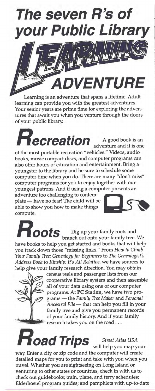

Learning is an adventure that spans a lifetime. Adult learning can provide you with the greatest adventures. Your senior years are prime time for exploring the adventures that await you when you venture through the doors of your public library.

ecreation A good book is an adventure and it is one of the most portable recreation "vehicles." Videos, audio books, music compact discs, and computer programs can also offer hours of education and entertainment. Bring a youngster to the library and be sure to schedule some computer time when you do. There are many "don't miss" computer programs for you to enjoy together with our youngest patrons. And if using a computer presents an adventure too challenging to contem-

plate - have no fear! The child will be able to show you how to make things compute.



**OOLS** Dig up your family roots and<br>branch out onto your family tree. We have books to help you get started and books that will help you track down those "missing links." From How to Climb Your Family Tree: Genealogy for Beginners to The Genealogist's Address Book to Kinship: It's All Relative, we have sources to help give your family research direction. You may obtain



census reels and passenger lists from our cooperative library system and then assemble all of your data using one of our computer programs. At PC Station, we have two programs - the Family Tree Maker and Personal Ancestral File - that can help you fill in your family tree and give you permanent records of your family history. And if your family research takes you on the road ...



**Street Atlas USA** 

will help you map your way. Enter a city or zip code and the computer will create detailed maps for you to print and take with you when you travel. Whether you are sightseeing on Long Island or venturing to other states or countries, check in with us to check out guidebooks; train, plane, and ferry schedules; Elderhostel program guides; and pamphlets with up-to-date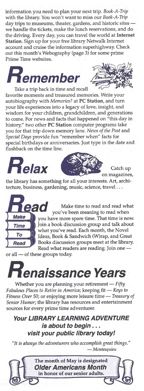information you need to plan your next trip. Book-A-Trip with the library. You won't want to miss our Book-A-Trip day trips to museums, theater, gardens, and historic sites we handle the tickets, make the lunch reservations, and do the driving. Every day, you can travel the world at Internet Station. Sign up for your free library Netwalk Internet account and cruise the information superhighway. Check out this month's Webography (page 3) for some prime Prime Time websites.





Take a trip back in time and recall favorite moments and treasured memories. Write your autobiography with Memories? at PC Station, and turn your life experiences into a legacy of love, insight, and wisdom for your children, grandchildren, and generations to come. For news and facts that happened on "this day in history," two other PC Station computer programs take you for that trip down memory lane. News of the Past and Special Days provide fun "remember when" facts for special birthdays or anniversaries. Just type in the date and flashback on the time line.





Catch up on magazines,

the library has something for all your interests. Art, architecture, business, gardening, music, science, travel ...



Make time to read and read what you've been meaning to read when you have more spare time. That time is now. Join a book discussion group and talk about what you've read. Each month, the Novel Ideas, Book & Sandwich (W)rap, and Great Books discussion groups meet at the library. Read what readers are reading. Join one -

or all - of these groups today.



Whether you are planning your retirement - Fifty Fabulous Places to Retire in America; keeping fit — Keys to<br>Fitness Over 50; or enjoying more leisure time — Treasury of Senior Humor; the library has resources and entertainment sources for every prime time adventurer.

Your LIBRARY LEARNING ADVENTURE is about to begin . . . visit your public library today!

"It is always the adventurers who accomplish great things." - Montesquieu